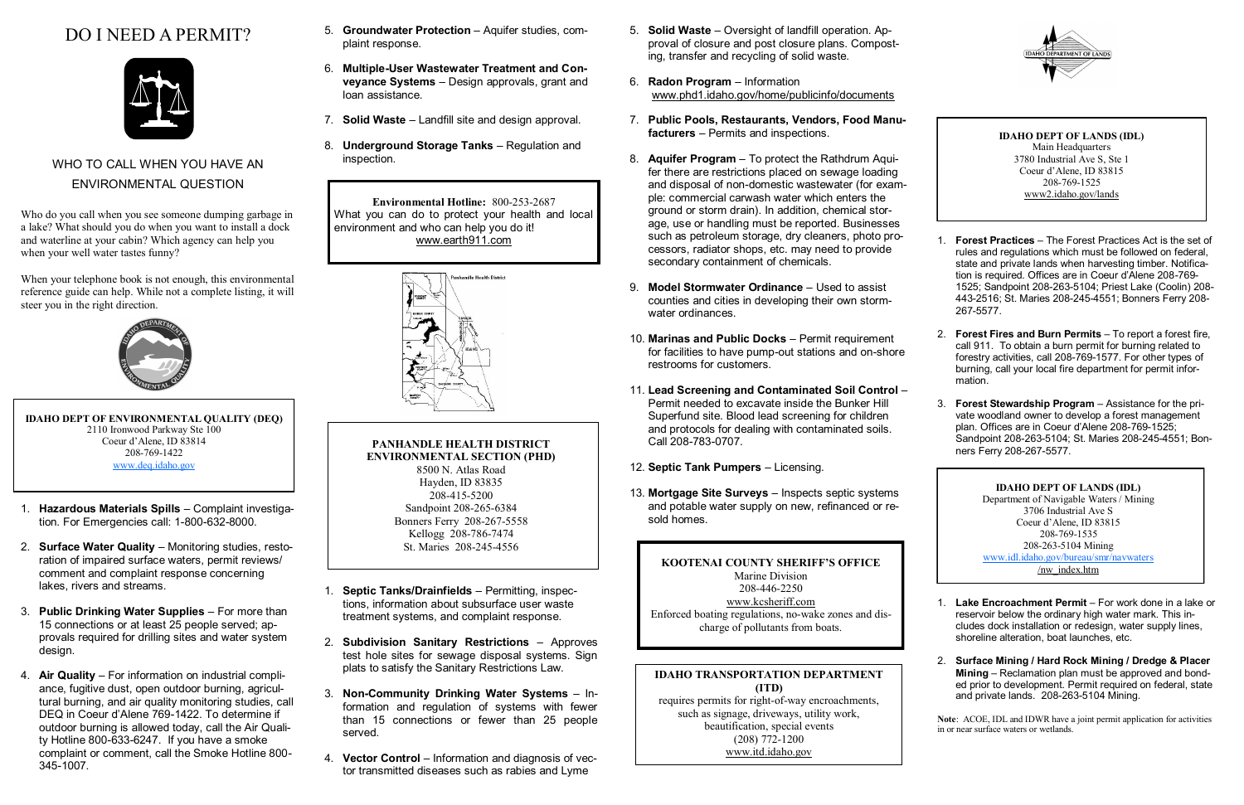# DO I NEED A PERMIT?



## WHO TO CALL WHEN YOU HAVE AN ENVIRONMENTAL QUESTION

Who do you call when you see someone dumping garbage in a lake? What should you do when you want to install a dock and waterline at your cabin? Which agency can help you when your well water tastes funny?

When your telephone book is not enough, this environmental reference guide can help. While not a complete listing, it will steer you in the right direction.



- 1. **Hazardous Materials Spills** Complaint investigation. For Emergencies call: 1-800-632-8000.
- 2. **Surface Water Quality** Monitoring studies, restoration of impaired surface waters, permit reviews/ comment and complaint response concerning lakes, rivers and streams.
- 3. **Public Drinking Water Supplies** For more than 15 connections or at least 25 people served; approvals required for drilling sites and water system design.
- 4. **Air Quality** For information on industrial compliance, fugitive dust, open outdoor burning, agricultural burning, and air quality monitoring studies, call DEQ in Coeur d'Alene 769-1422. To determine if outdoor burning is allowed today, call the Air Quality Hotline 800-633-6247. If you have a smoke complaint or comment, call the Smoke Hotline 800- 345-1007.
- 5. **Groundwater Protection** Aquifer studies, complaint response.
- 6. **Multiple-User Wastewater Treatment and Conveyance Systems** – Design approvals, grant and loan assistance.
- 7. **Solid Waste** Landfill site and design approval.
- 8. **Underground Storage Tanks** Regulation and inspection.

- 1. **Septic Tanks/Drainfields** Permitting, inspections, information about subsurface user waste treatment systems, and complaint response.
- 2. **Subdivision Sanitary Restrictions** Approves test hole sites for sewage disposal systems. Sign plats to satisfy the Sanitary Restrictions Law.
- 3. **Non-Community Drinking Water Systems** Information and regulation of systems with fewer than 15 connections or fewer than 25 people served.
- 4. **Vector Control** Information and diagnosis of vector transmitted diseases such as rabies and Lyme

**Environmental Hotline:** 800-253-2687 What you can do to protect your health and local environment and who can help you do it! www.earth911.com



## **PANHANDLE HEALTH DISTRICT ENVIRONMENTAL SECTION (PHD)**

8500 N. Atlas Road Hayden, ID 83835 208-415-5200 Sandpoint 208-265-6384 Bonners Ferry 208-267-5558 Kellogg 208-786-7474 St. Maries 208-245-4556

- 5. **Solid Waste** Oversight of landfill operation. Approval of closure and post closure plans. Composting, transfer and recycling of solid waste.
- 6. **Radon Program** Information www.phd1.idaho.gov/home/publicinfo/documents
- 7. **Public Pools, Restaurants, Vendors, Food Manufacturers** – Permits and inspections.
- 8. **Aquifer Program** To protect the Rathdrum Aquifer there are restrictions placed on sewage loading and disposal of non-domestic wastewater (for example: commercial carwash water which enters the ground or storm drain). In addition, chemical storage, use or handling must be reported. Businesses such as petroleum storage, dry cleaners, photo processors, radiator shops, etc. may need to provide secondary containment of chemicals.
- 9. **Model Stormwater Ordinance** Used to assist counties and cities in developing their own stormwater ordinances.
- 10. **Marinas and Public Docks** Permit requirement for facilities to have pump-out stations and on-shore restrooms for customers.
- 11. **Lead Screening and Contaminated Soil Control** Permit needed to excavate inside the Bunker Hill Superfund site. Blood lead screening for children and protocols for dealing with contaminated soils. Call 208-783-0707.
- 12. **Septic Tank Pumpers** Licensing.
- 13. **Mortgage Site Surveys** Inspects septic systems and potable water supply on new, refinanced or resold homes.

## **IDAHO TRANSPORTATION DEPARTMENT (ITD)**

requires permits for right-of-way encroachments, such as signage, driveways, utility work, beautification, special events (208) 772-1200 www.itd.idaho.gov



- 1. **Forest Practices** The Forest Practices Act is the set of rules and regulations which must be followed on federal, state and private lands when harvesting timber. Notification is required. Offices are in Coeur d'Alene 208-769- 1525; Sandpoint 208-263-5104; Priest Lake (Coolin) 208- 443-2516; St. Maries 208-245-4551; Bonners Ferry 208- 267-5577.
- 2. **Forest Fires and Burn Permits** To report a forest fire, call 911. To obtain a burn permit for burning related to forestry activities, call 208-769-1577. For other types of burning, call your local fire department for permit information.
- 3. **Forest Stewardship Program** Assistance for the private woodland owner to develop a forest management plan. Offices are in Coeur d'Alene 208-769-1525; Sandpoint 208-263-5104; St. Maries 208-245-4551; Bonners Ferry 208-267-5577.

- 1. **Lake Encroachment Permit** For work done in a lake or reservoir below the ordinary high water mark. This includes dock installation or redesign, water supply lines, shoreline alteration, boat launches, etc.
- 2. **Surface Mining / Hard Rock Mining / Dredge & Placer Mining** – Reclamation plan must be approved and bonded prior to development. Permit required on federal, state and private lands. 208-263-5104 Mining.

**Note**: ACOE, IDL and IDWR have a joint permit application for activities in or near surface waters or wetlands.

## **KOOTENAI COUNTY SHERIFF'S OFFICE**

Marine Division 208-446-2250 www.kcsheriff.com Enforced boating regulations, no-wake zones and discharge of pollutants from boats.

**IDAHO DEPT OF ENVIRONMENTAL QUALITY (DEQ)** 2110 Ironwood Parkway Ste 100 Coeur d'Alene, ID 83814 208-769-1422 [www.deq.idaho.gov](http://www.deq.idaho.gov/)

## **IDAHO DEPT OF LANDS (IDL)**

Main Headquarters 3780 Industrial Ave S, Ste 1 Coeur d'Alene, ID 83815 208-769-1525 www2.idaho.gov/lands

**IDAHO DEPT OF LANDS (IDL)** Department of Navigable Waters / Mining 3706 Industrial Ave S Coeur d'Alene, ID 83815 208-769-1535 208-263-5104 Mining [www.idl.idaho.gov/bureau/smr/navwaters](http://www.idl.idaho.gov/bureau/smr/navwaters) /nw\_index.htm